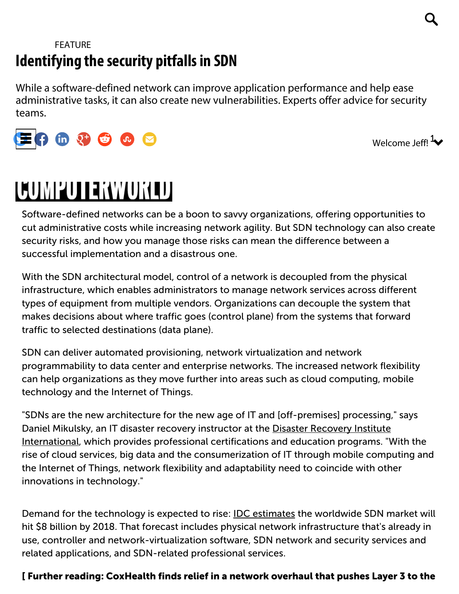## [FEATURE](http://www.computerworld.com/feature) Identifying the security pitfalls in SDN

While a software-defined network can improve application performance and help ease administrative tasks, it can also create new vulnerabilities. Experts offer advice for security teams.



Welcome Jeff! 4

# COMPUTERWORLD

Software-defined networks can be a boon to savvy organizations, offering opportunities to cut administrative costs while increasing network agility. But SDN technology can also create security risks, and how you manage those risks can mean the difference between a successful implementation and a disastrous one.

With the SDN architectural model, control of a network is decoupled from the physical infrastructure, which enables administrators to manage network services across different types of equipment from multiple vendors. Organizations can decouple the system that makes decisions about where traffic goes (control plane) from the systems that forward traffic to selected destinations (data plane).

SDN can deliver automated provisioning, network virtualization and network programmability to data center and enterprise networks. The increased network flexibility can help organizations as they move further into areas such as cloud computing, mobile technology and the Internet of Things.

"SDNs are the new architecture for the new age of IT and [off-premises] processing," says Daniel Mikulsky, an IT disaster recovery instructor at the Disaster Recovery Institute [International,](https://www.drii.org/) which provides professional certifications and education programs. "With the rise of cloud services, big data and the consumerization of IT through mobile computing and the Internet of Things, network flexibility and adaptability need to coincide with other innovations in technology."

Demand for the technology is expected to rise: **IDC** [estimates](https://www.idc.com/getdoc.jsp?containerId=prUS25052314) the worldwide SDN market will hit \$8 billion by 2018. That forecast includes physical network infrastructure that's already in use, controller and network-virtualization software, SDN network and security services and related applications, and SDN-related professional services.

#### [ Further reading: [CoxHealth](http://www.computerworld.com/article/2921380/networking/coxhealth-finds-relief-in-a-network-overhaul-that-pushes-layer-3-to-the-edge.html#tk.ctw-infsb) finds relief in a network overhaul that pushes Layer 3 to the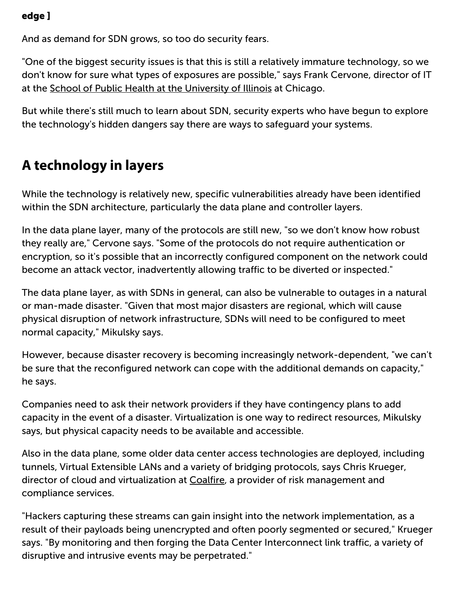#### [edge](http://www.computerworld.com/article/2921380/networking/coxhealth-finds-relief-in-a-network-overhaul-that-pushes-layer-3-to-the-edge.html#tk.ctw-infsb) ]

And as demand for SDN grows, so too do security fears.

"One of the biggest security issues is that this is still a relatively immature technology, so we don't know for sure what types of exposures are possible," says Frank Cervone, director of IT at the School of Public Health at the [University](http://publichealth.uic.edu/) of Illinois at Chicago.

But while there's still much to learn about SDN, security experts who have begun to explore the technology's hidden dangers say there are ways to safeguard your systems.

## A technology in layers

While the technology is relatively new, specific vulnerabilities already have been identified within the SDN architecture, particularly the data plane and controller layers.

In the data plane layer, many of the protocols are still new, "so we don't know how robust they really are," Cervone says. "Some of the protocols do not require authentication or encryption, so it's possible that an incorrectly configured component on the network could become an attack vector, inadvertently allowing traffic to be diverted or inspected."

The data plane layer, as with SDNs in general, can also be vulnerable to outages in a natural or man-made disaster. "Given that most major disasters are regional, which will cause physical disruption of network infrastructure, SDNs will need to be configured to meet normal capacity," Mikulsky says.

However, because disaster recovery is becoming increasingly network-dependent, "we can't be sure that the reconfigured network can cope with the additional demands on capacity," he says.

Companies need to ask their network providers if they have contingency plans to add capacity in the event of a disaster. Virtualization is one way to redirect resources, Mikulsky says, but physical capacity needs to be available and accessible.

Also in the data plane, some older data center access technologies are deployed, including tunnels, Virtual Extensible LANs and a variety of bridging protocols, says Chris Krueger, director of cloud and virtualization at [Coalfire](https://www.coalfire.com/), a provider of risk management and compliance services.

"Hackers capturing these streams can gain insight into the network implementation, as a result of their payloads being unencrypted and often poorly segmented or secured," Krueger says. "By monitoring and then forging the Data Center Interconnect link traffic, a variety of disruptive and intrusive events may be perpetrated."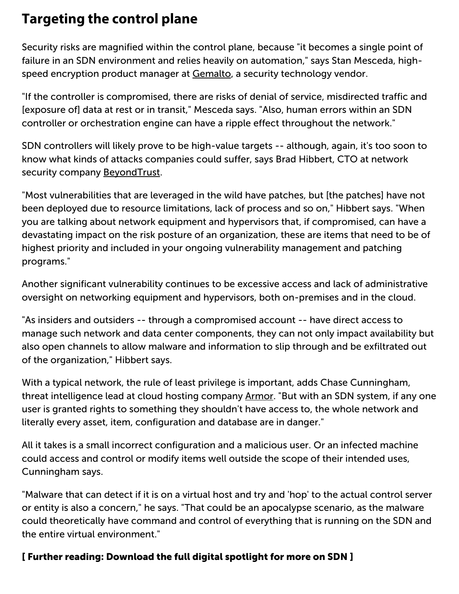## Targeting the control plane

Security risks are magnified within the control plane, because "it becomes a single point of failure in an SDN environment and relies heavily on automation," says Stan Mesceda, highspeed encryption product manager at [Gemalto,](http://www.gemalto.com/) a security technology vendor.

"If the controller is compromised, there are risks of denial of service, misdirected traffic and [exposure of] data at rest or in transit," Mesceda says. "Also, human errors within an SDN controller or orchestration engine can have a ripple effect throughout the network."

SDN controllers will likely prove to be high-value targets -- although, again, it's too soon to know what kinds of attacks companies could suffer, says Brad Hibbert, CTO at network security company [BeyondTrust](https://www.beyondtrust.com/).

"Most vulnerabilities that are leveraged in the wild have patches, but [the patches] have not been deployed due to resource limitations, lack of process and so on," Hibbert says. "When you are talking about network equipment and hypervisors that, if compromised, can have a devastating impact on the risk posture of an organization, these are items that need to be of highest priority and included in your ongoing vulnerability management and patching programs."

Another significant vulnerability continues to be excessive access and lack of administrative oversight on networking equipment and hypervisors, both on-premises and in the cloud.

"As insiders and outsiders -- through a compromised account -- have direct access to manage such network and data center components, they can not only impact availability but also open channels to allow malware and information to slip through and be exfiltrated out of the organization," Hibbert says.

With a typical network, the rule of least privilege is important, adds Chase Cunningham, threat intelligence lead at cloud hosting company [Armor.](https://www.armor.com/) "But with an SDN system, if any one user is granted rights to something they shouldn't have access to, the whole network and literally every asset, item, configuration and database are in danger."

All it takes is a small incorrect configuration and a malicious user. Or an infected machine could access and control or modify items well outside the scope of their intended uses, Cunningham says.

"Malware that can detect if it is on a virtual host and try and 'hop' to the actual control server or entity is also a concern," he says. "That could be an apocalypse scenario, as the malware could theoretically have command and control of everything that is running on the SDN and the entire virtual environment."

#### [ Further reading: [Download](http://resources.idgenterprise.com/original/AST-0149794_DS1_FY15SDN_final.pdf#tk.ctw-infsb) the full digital spotlight for more on SDN ]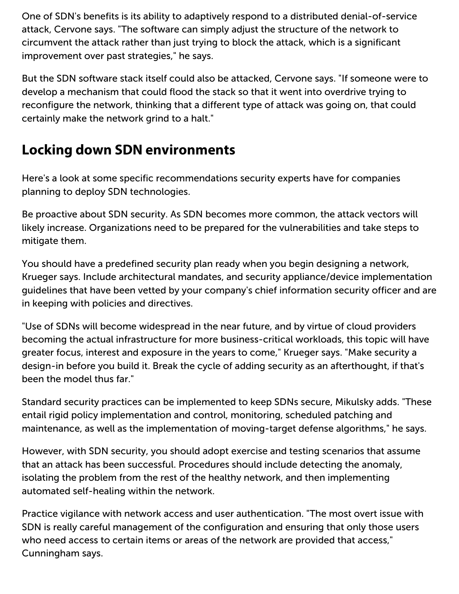One of SDN's benefits is its ability to adaptively respond to a distributed denial-of-service attack, Cervone says. "The software can simply adjust the structure of the network to circumvent the attack rather than just trying to block the attack, which is a significant improvement over past strategies," he says.

But the SDN software stack itself could also be attacked, Cervone says. "If someone were to develop a mechanism that could flood the stack so that it went into overdrive trying to reconfigure the network, thinking that a different type of attack was going on, that could certainly make the network grind to a halt."

## Locking down SDN environments

Here's a look at some specific recommendations security experts have for companies planning to deploy SDN technologies.

Be proactive about SDN security. As SDN becomes more common, the attack vectors will likely increase. Organizations need to be prepared for the vulnerabilities and take steps to mitigate them.

You should have a predefined security plan ready when you begin designing a network, Krueger says. Include architectural mandates, and security appliance/device implementation guidelines that have been vetted by your company's chief information security officer and are in keeping with policies and directives.

"Use of SDNs will become widespread in the near future, and by virtue of cloud providers becoming the actual infrastructure for more business-critical workloads, this topic will have greater focus, interest and exposure in the years to come," Krueger says. "Make security a design-in before you build it. Break the cycle of adding security as an afterthought, if that's been the model thus far."

Standard security practices can be implemented to keep SDNs secure, Mikulsky adds. "These entail rigid policy implementation and control, monitoring, scheduled patching and maintenance, as well as the implementation of moving-target defense algorithms," he says.

However, with SDN security, you should adopt exercise and testing scenarios that assume that an attack has been successful. Procedures should include detecting the anomaly, isolating the problem from the rest of the healthy network, and then implementing automated self-healing within the network.

Practice vigilance with network access and user authentication. "The most overt issue with SDN is really careful management of the configuration and ensuring that only those users who need access to certain items or areas of the network are provided that access," Cunningham says.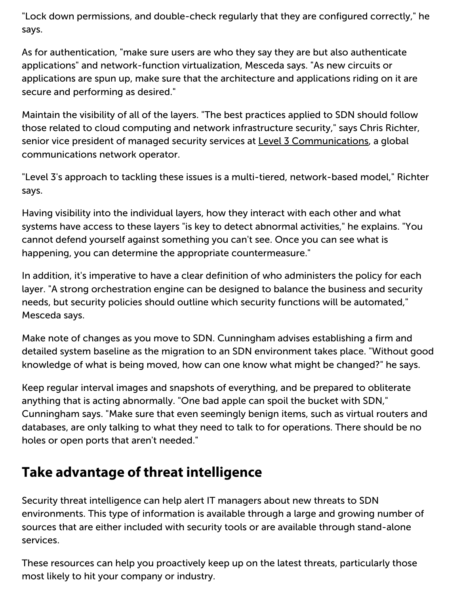"Lock down permissions, and double-check regularly that they are configured correctly," he says.

As for authentication, "make sure users are who they say they are but also authenticate applications" and network-function virtualization, Mesceda says. "As new circuits or applications are spun up, make sure that the architecture and applications riding on it are secure and performing as desired."

Maintain the visibility of all of the layers. "The best practices applied to SDN should follow those related to cloud computing and network infrastructure security," says Chris Richter, senior vice president of managed security services at Level 3 [Communications,](http://www.level3.com/en/) a global communications network operator.

"Level 3's approach to tackling these issues is a multi-tiered, network-based model," Richter says.

Having visibility into the individual layers, how they interact with each other and what systems have access to these layers "is key to detect abnormal activities," he explains. "You cannot defend yourself against something you can't see. Once you can see what is happening, you can determine the appropriate countermeasure."

In addition, it's imperative to have a clear definition of who administers the policy for each layer. "A strong orchestration engine can be designed to balance the business and security needs, but security policies should outline which security functions will be automated," Mesceda says.

Make note of changes as you move to SDN. Cunningham advises establishing a firm and detailed system baseline as the migration to an SDN environment takes place. "Without good knowledge of what is being moved, how can one know what might be changed?" he says.

Keep regular interval images and snapshots of everything, and be prepared to obliterate anything that is acting abnormally. "One bad apple can spoil the bucket with SDN," Cunningham says. "Make sure that even seemingly benign items, such as virtual routers and databases, are only talking to what they need to talk to for operations. There should be no holes or open ports that aren't needed."

## Take advantage of threat intelligence

Security threat intelligence can help alert IT managers about new threats to SDN environments. This type of information is available through a large and growing number of sources that are either included with security tools or are available through stand-alone services.

These resources can help you proactively keep up on the latest threats, particularly those most likely to hit your company or industry.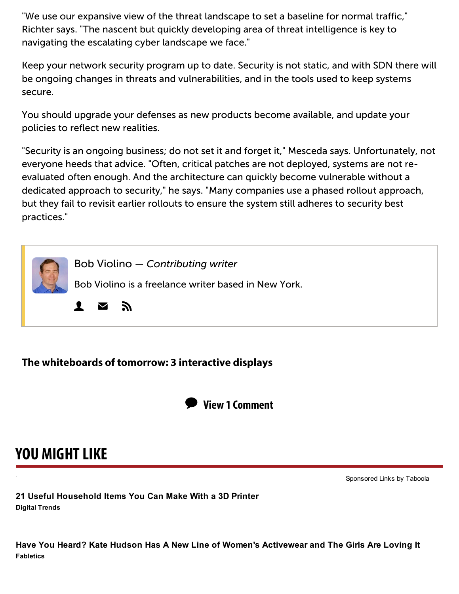"We use our expansive view of the threat landscape to set a baseline for normal traffic," Richter says. "The nascent but quickly developing area of threat intelligence is key to navigating the escalating cyber landscape we face."

Keep your network security program up to date. Security is not static, and with SDN there will be ongoing changes in threats and vulnerabilities, and in the tools used to keep systems secure.

You should upgrade your defenses as new products become available, and update your policies to reflect new realities.

"Security is an ongoing business; do not set it and forget it," Mesceda says. Unfortunately, not everyone heeds that advice. "Often, critical patches are not deployed, systems are not reevaluated often enough. And the architecture can quickly become vulnerable without a dedicated approach to security," he says. "Many companies use a phased rollout approach, but they fail to revisit earlier rollouts to ensure the system still adheres to security best practices."



#### The [whiteboards](http://www.computerworld.com/article/3026495/collaboration/the-whiteboards-of-tomorrow-3-interactive-displays.html#tk.ctw_nsdr_intrcpt) of tomorrow: 3 interactive displays



# YOU MIGHT LIKE

. [Sponsored](http://popup.taboola.com/en/?template=colorbox&taboola_utm_source=idg-computerworld&taboola_utm_medium=bytaboola&taboola_utm_content=ab_alternating-thumbnails-b_abp-sc:Below%20Article%20Thumbnails:) Links by [Taboola](http://popup.taboola.com/en/?template=colorbox&taboola_utm_source=idg-computerworld&taboola_utm_medium=bytaboola&taboola_utm_content=ab_alternating-thumbnails-b_abp-sc:Below%20Article%20Thumbnails:)

Digital Trends 21 Useful Household Items You Can Make With a 3D Printer

**Fabletics** Have You Heard? Kate Hudson Has A New Line of Women's Activewear and The Girls Are Loving It